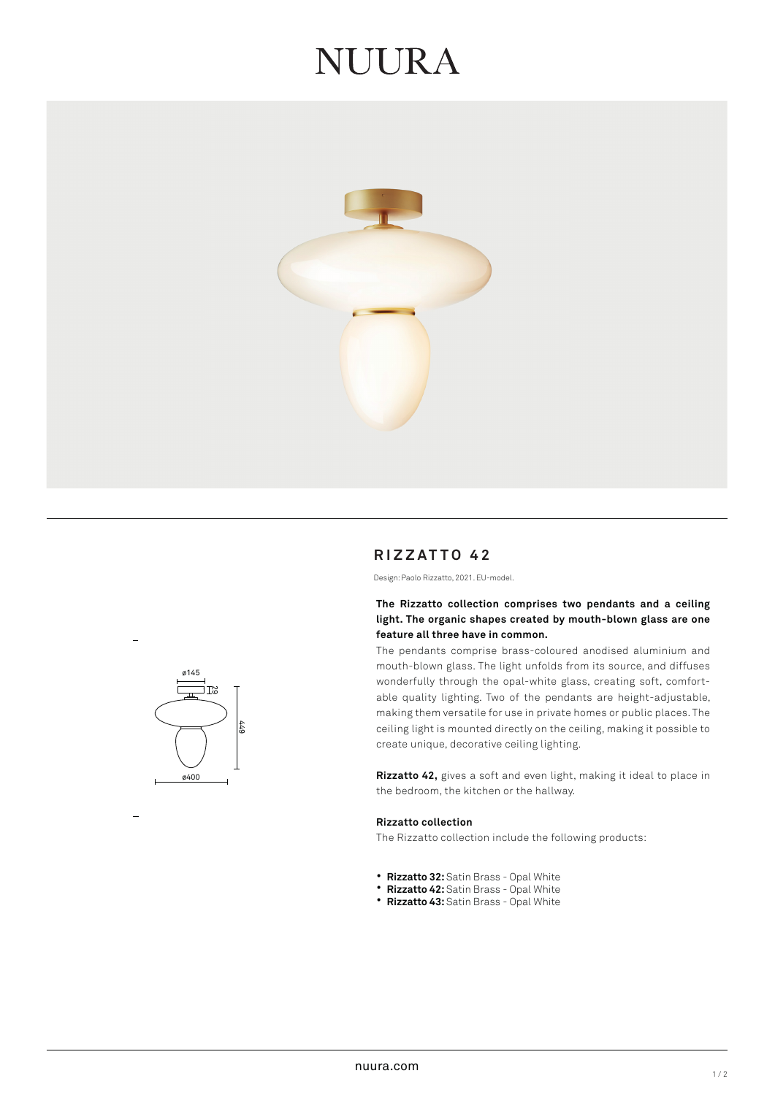# NUIRA



# **RIZZATTO 42**

Design: Paolo Rizzatto, 2021. EU-model.

# **The Rizzatto collection comprises two pendants and a ceiling light. The organic shapes created by mouth-blown glass are one feature all three have in common.**

The pendants comprise brass-coloured anodised aluminium and mouth-blown glass. The light unfolds from its source, and diffuses wonderfully through the opal-white glass, creating soft, comfortable quality lighting. Two of the pendants are height-adjustable, making them versatile for use in private homes or public places. The ceiling light is mounted directly on the ceiling, making it possible to create unique, decorative ceiling lighting.

**Rizzatto 42,** gives a soft and even light, making it ideal to place in the bedroom, the kitchen or the hallway.

# **Rizzatto collection**

The Rizzatto collection include the following products:

- **Rizzatto 32:** Satin Brass Opal White
- **Rizzatto 42:** Satin Brass Opal White
- **Rizzatto 43:** Satin Brass Opal White